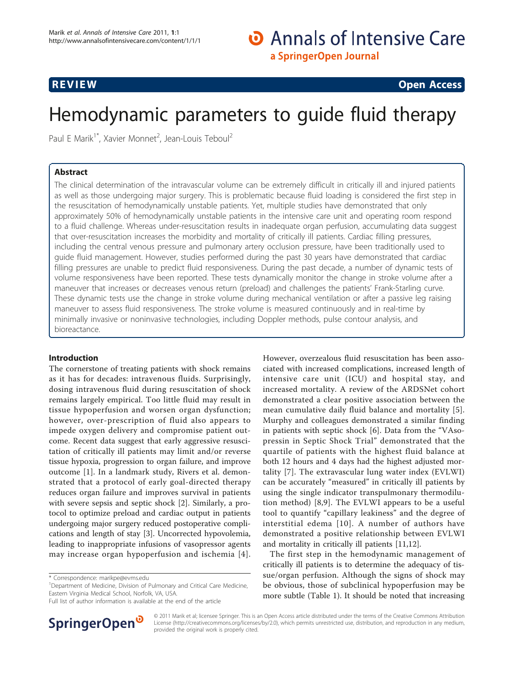## O Annals of Intensive Care a SpringerOpen Journal

**REVIEW REVIEW CONSTRUCTER CONSTRUCTION** 

# Hemodynamic parameters to guide fluid therapy

Paul E Marik<sup>1\*</sup>, Xavier Monnet<sup>2</sup>, Jean-Louis Teboul<sup>2</sup>

#### Abstract

The clinical determination of the intravascular volume can be extremely difficult in critically ill and injured patients as well as those undergoing major surgery. This is problematic because fluid loading is considered the first step in the resuscitation of hemodynamically unstable patients. Yet, multiple studies have demonstrated that only approximately 50% of hemodynamically unstable patients in the intensive care unit and operating room respond to a fluid challenge. Whereas under-resuscitation results in inadequate organ perfusion, accumulating data suggest that over-resuscitation increases the morbidity and mortality of critically ill patients. Cardiac filling pressures, including the central venous pressure and pulmonary artery occlusion pressure, have been traditionally used to guide fluid management. However, studies performed during the past 30 years have demonstrated that cardiac filling pressures are unable to predict fluid responsiveness. During the past decade, a number of dynamic tests of volume responsiveness have been reported. These tests dynamically monitor the change in stroke volume after a maneuver that increases or decreases venous return (preload) and challenges the patients' Frank-Starling curve. These dynamic tests use the change in stroke volume during mechanical ventilation or after a passive leg raising maneuver to assess fluid responsiveness. The stroke volume is measured continuously and in real-time by minimally invasive or noninvasive technologies, including Doppler methods, pulse contour analysis, and bioreactance.

#### Introduction

The cornerstone of treating patients with shock remains as it has for decades: intravenous fluids. Surprisingly, dosing intravenous fluid during resuscitation of shock remains largely empirical. Too little fluid may result in tissue hypoperfusion and worsen organ dysfunction; however, over-prescription of fluid also appears to impede oxygen delivery and compromise patient outcome. Recent data suggest that early aggressive resuscitation of critically ill patients may limit and/or reverse tissue hypoxia, progression to organ failure, and improve outcome [[1\]](#page-6-0). In a landmark study, Rivers et al. demonstrated that a protocol of early goal-directed therapy reduces organ failure and improves survival in patients with severe sepsis and septic shock [[2\]](#page-6-0). Similarly, a protocol to optimize preload and cardiac output in patients undergoing major surgery reduced postoperative complications and length of stay [\[3](#page-7-0)]. Uncorrected hypovolemia, leading to inappropriate infusions of vasopressor agents may increase organ hypoperfusion and ischemia [[4\]](#page-7-0).

Full list of author information is available at the end of the article



However, overzealous fluid resuscitation has been associated with increased complications, increased length of intensive care unit (ICU) and hospital stay, and increased mortality. A review of the ARDSNet cohort demonstrated a clear positive association between the mean cumulative daily fluid balance and mortality [[5](#page-7-0)]. Murphy and colleagues demonstrated a similar finding in patients with septic shock [[6\]](#page-7-0). Data from the "VAsopressin in Septic Shock Trial" demonstrated that the quartile of patients with the highest fluid balance at both 12 hours and 4 days had the highest adjusted mortality [[7\]](#page-7-0). The extravascular lung water index (EVLWI) can be accurately "measured" in critically ill patients by using the single indicator transpulmonary thermodilution method) [[8,9\]](#page-7-0). The EVLWI appears to be a useful tool to quantify "capillary leakiness" and the degree of interstitial edema [[10](#page-7-0)]. A number of authors have demonstrated a positive relationship between EVLWI and mortality in critically ill patients [\[11,12\]](#page-7-0).

The first step in the hemodynamic management of critically ill patients is to determine the adequacy of tissue/organ perfusion. Although the signs of shock may be obvious, those of subclinical hypoperfusion may be more subtle (Table [1\)](#page-1-0). It should be noted that increasing

© 2011 Marik et al; licensee Springer. This is an Open Access article distributed under the terms of the Creative Commons Attribution License [\(http://creativecommons.org/licenses/by/2.0](http://creativecommons.org/licenses/by/2.0)), which permits unrestricted use, distribution, and reproduction in any medium, provided the original work is properly cited.

<sup>\*</sup> Correspondence: [marikpe@evms.edu](mailto:marikpe@evms.edu)

<sup>&</sup>lt;sup>1</sup>Department of Medicine, Division of Pulmonary and Critical Care Medicine, Eastern Virginia Medical School, Norfolk, VA, USA.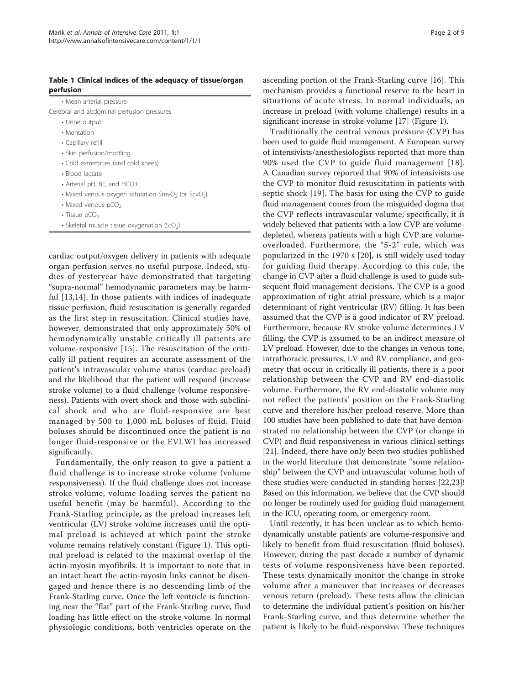<span id="page-1-0"></span>Table 1 Clinical indices of the adequacy of tissue/organ perfusion

| • Mean arterial pressure                                               |
|------------------------------------------------------------------------|
| Cerebral and abdominal perfusion pressures                             |
| • Urine output                                                         |
| • Mentation                                                            |
| • Capillary refill                                                     |
| • Skin perfusion/mottling                                              |
| • Cold extremities (and cold knees)                                    |
| • Blood lactate                                                        |
| • Arterial pH, BE, and HCO3                                            |
| • Mixed venous oxygen saturation $\text{SmvO}_2$ (or $\text{ScvO}_2$ ) |
| • Mixed venous $pCO2$                                                  |
| $\cdot$ Tissue pCO <sub>2</sub>                                        |
| • Skeletal muscle tissue oxygenation (StO <sub>2</sub> )               |
|                                                                        |

cardiac output/oxygen delivery in patients with adequate organ perfusion serves no useful purpose. Indeed, studies of yesteryear have demonstrated that targeting "supra-normal" hemodynamic parameters may be harmful [\[13](#page-7-0),[14\]](#page-7-0). In those patients with indices of inadequate tissue perfusion, fluid resuscitation is generally regarded as the first step in resuscitation. Clinical studies have, however, demonstrated that only approximately 50% of hemodynamically unstable critically ill patients are volume-responsive [\[15\]](#page-7-0). The resuscitation of the critically ill patient requires an accurate assessment of the patient's intravascular volume status (cardiac preload) and the likelihood that the patient will respond (increase stroke volume) to a fluid challenge (volume responsiveness). Patients with overt shock and those with subclinical shock and who are fluid-responsive are best managed by 500 to 1,000 mL boluses of fluid. Fluid boluses should be discontinued once the patient is no longer fluid-responsive or the EVLWI has increased significantly.

Fundamentally, the only reason to give a patient a fluid challenge is to increase stroke volume (volume responsiveness). If the fluid challenge does not increase stroke volume, volume loading serves the patient no useful benefit (may be harmful). According to the Frank-Starling principle, as the preload increases left ventricular (LV) stroke volume increases until the optimal preload is achieved at which point the stroke volume remains relatively constant (Figure [1\)](#page-2-0). This optimal preload is related to the maximal overlap of the actin-myosin myofibrils. It is important to note that in an intact heart the actin-myosin links cannot be disengaged and hence there is no descending limb of the Frank-Starling curve. Once the left ventricle is functioning near the "flat" part of the Frank-Starling curve, fluid loading has little effect on the stroke volume. In normal physiologic conditions, both ventricles operate on the ascending portion of the Frank-Starling curve [[16\]](#page-7-0). This mechanism provides a functional reserve to the heart in situations of acute stress. In normal individuals, an increase in preload (with volume challenge) results in a significant increase in stroke volume [\[17](#page-7-0)] (Figure [1](#page-2-0)).

Traditionally the central venous pressure (CVP) has been used to guide fluid management. A European survey of intensivists/anesthesiologists reported that more than 90% used the CVP to guide fluid management [[18\]](#page-7-0). A Canadian survey reported that 90% of intensivists use the CVP to monitor fluid resuscitation in patients with septic shock [[19\]](#page-7-0). The basis for using the CVP to guide fluid management comes from the misguided dogma that the CVP reflects intravascular volume; specifically, it is widely believed that patients with a low CVP are volumedepleted, whereas patients with a high CVP are volumeoverloaded. Furthermore, the "5-2" rule, which was popularized in the 1970 s [[20\]](#page-7-0), is still widely used today for guiding fluid therapy. According to this rule, the change in CVP after a fluid challenge is used to guide subsequent fluid management decisions. The CVP is a good approximation of right atrial pressure, which is a major determinant of right ventricular (RV) filling. It has been assumed that the CVP is a good indicator of RV preload. Furthermore, because RV stroke volume determines LV filling, the CVP is assumed to be an indirect measure of LV preload. However, due to the changes in venous tone, intrathoracic pressures, LV and RV compliance, and geometry that occur in critically ill patients, there is a poor relationship between the CVP and RV end-diastolic volume. Furthermore, the RV end-diastolic volume may not reflect the patients' position on the Frank-Starling curve and therefore his/her preload reserve. More than 100 studies have been published to date that have demonstrated no relationship between the CVP (or change in CVP) and fluid responsiveness in various clinical settings [[21\]](#page-7-0). Indeed, there have only been two studies published in the world literature that demonstrate "some relationship" between the CVP and intravascular volume; both of these studies were conducted in standing horses [[22,23](#page-7-0)]! Based on this information, we believe that the CVP should no longer be routinely used for guiding fluid management in the ICU, operating room, or emergency room.

Until recently, it has been unclear as to which hemodynamically unstable patients are volume-responsive and likely to benefit from fluid resuscitation (fluid boluses). However, during the past decade a number of dynamic tests of volume responsiveness have been reported. These tests dynamically monitor the change in stroke volume after a maneuver that increases or decreases venous return (preload). These tests allow the clinician to determine the individual patient's position on his/her Frank-Starling curve, and thus determine whether the patient is likely to be fluid-responsive. These techniques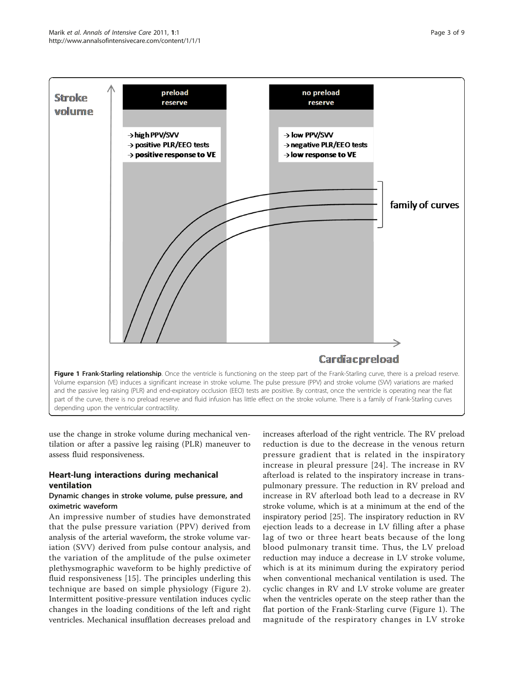<span id="page-2-0"></span>

use the change in stroke volume during mechanical ventilation or after a passive leg raising (PLR) maneuver to assess fluid responsiveness.

#### Heart-lung interactions during mechanical ventilation

#### Dynamic changes in stroke volume, pulse pressure, and oximetric waveform

An impressive number of studies have demonstrated that the pulse pressure variation (PPV) derived from analysis of the arterial waveform, the stroke volume variation (SVV) derived from pulse contour analysis, and the variation of the amplitude of the pulse oximeter plethysmographic waveform to be highly predictive of fluid responsiveness [[15](#page-7-0)]. The principles underling this technique are based on simple physiology (Figure [2\)](#page-3-0). Intermittent positive-pressure ventilation induces cyclic changes in the loading conditions of the left and right ventricles. Mechanical insufflation decreases preload and

increases afterload of the right ventricle. The RV preload reduction is due to the decrease in the venous return pressure gradient that is related in the inspiratory increase in pleural pressure [[24\]](#page-7-0). The increase in RV afterload is related to the inspiratory increase in transpulmonary pressure. The reduction in RV preload and increase in RV afterload both lead to a decrease in RV stroke volume, which is at a minimum at the end of the inspiratory period [\[25](#page-7-0)]. The inspiratory reduction in RV ejection leads to a decrease in LV filling after a phase lag of two or three heart beats because of the long blood pulmonary transit time. Thus, the LV preload reduction may induce a decrease in LV stroke volume, which is at its minimum during the expiratory period when conventional mechanical ventilation is used. The cyclic changes in RV and LV stroke volume are greater when the ventricles operate on the steep rather than the flat portion of the Frank-Starling curve (Figure 1). The magnitude of the respiratory changes in LV stroke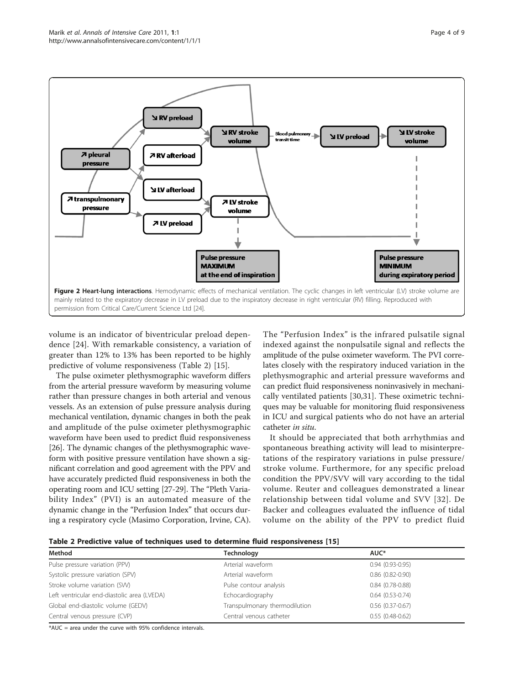<span id="page-3-0"></span>

volume is an indicator of biventricular preload dependence [[24\]](#page-7-0). With remarkable consistency, a variation of greater than 12% to 13% has been reported to be highly predictive of volume responsiveness (Table 2) [\[15\]](#page-7-0).

The pulse oximeter plethysmographic waveform differs from the arterial pressure waveform by measuring volume rather than pressure changes in both arterial and venous vessels. As an extension of pulse pressure analysis during mechanical ventilation, dynamic changes in both the peak and amplitude of the pulse oximeter plethysmographic waveform have been used to predict fluid responsiveness [[26](#page-7-0)]. The dynamic changes of the plethysmographic waveform with positive pressure ventilation have shown a significant correlation and good agreement with the PPV and have accurately predicted fluid responsiveness in both the operating room and ICU setting [\[27-29\]](#page-7-0). The "Pleth Variability Index" (PVI) is an automated measure of the dynamic change in the "Perfusion Index" that occurs during a respiratory cycle (Masimo Corporation, Irvine, CA).

The "Perfusion Index" is the infrared pulsatile signal indexed against the nonpulsatile signal and reflects the amplitude of the pulse oximeter waveform. The PVI correlates closely with the respiratory induced variation in the plethysmographic and arterial pressure waveforms and can predict fluid responsiveness noninvasively in mechanically ventilated patients [[30,31\]](#page-7-0). These oximetric techniques may be valuable for monitoring fluid responsiveness in ICU and surgical patients who do not have an arterial catheter in situ.

It should be appreciated that both arrhythmias and spontaneous breathing activity will lead to misinterpretations of the respiratory variations in pulse pressure/ stroke volume. Furthermore, for any specific preload condition the PPV/SVV will vary according to the tidal volume. Reuter and colleagues demonstrated a linear relationship between tidal volume and SVV [\[32\]](#page-7-0). De Backer and colleagues evaluated the influence of tidal volume on the ability of the PPV to predict fluid

| Table 2 Predictive value of techniques used to determine fluid responsiveness [15] |  |  |  |  |
|------------------------------------------------------------------------------------|--|--|--|--|
|                                                                                    |  |  |  |  |

| Method                                      | <b>Technology</b>             | AUC <sup>*</sup>       |  |
|---------------------------------------------|-------------------------------|------------------------|--|
| Pulse pressure variation (PPV)              | Arterial waveform             | $0.94(0.93-0.95)$      |  |
| Systolic pressure variation (SPV)           | Arterial waveform             | $0.86$ $(0.82 - 0.90)$ |  |
| Stroke volume variation (SVV)               | Pulse contour analysis        | $0.84(0.78-0.88)$      |  |
| Left ventricular end-diastolic area (LVEDA) | Echocardiography              | $0.64(0.53-0.74)$      |  |
| Global end-diastolic volume (GEDV)          | Transpulmonary thermodilution | $0.56$ $(0.37 - 0.67)$ |  |
| Central venous pressure (CVP)               | Central venous catheter       | $0.55(0.48-0.62)$      |  |

\*AUC = area under the curve with 95% confidence intervals.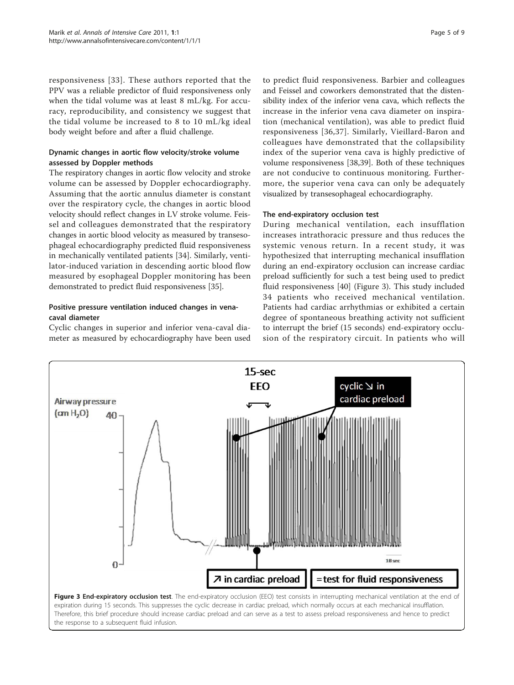responsiveness [[33](#page-7-0)]. These authors reported that the PPV was a reliable predictor of fluid responsiveness only when the tidal volume was at least 8 mL/kg. For accuracy, reproducibility, and consistency we suggest that the tidal volume be increased to 8 to 10 mL/kg ideal body weight before and after a fluid challenge.

#### Dynamic changes in aortic flow velocity/stroke volume assessed by Doppler methods

The respiratory changes in aortic flow velocity and stroke volume can be assessed by Doppler echocardiography. Assuming that the aortic annulus diameter is constant over the respiratory cycle, the changes in aortic blood velocity should reflect changes in LV stroke volume. Feissel and colleagues demonstrated that the respiratory changes in aortic blood velocity as measured by transesophageal echocardiography predicted fluid responsiveness in mechanically ventilated patients [[34\]](#page-7-0). Similarly, ventilator-induced variation in descending aortic blood flow measured by esophageal Doppler monitoring has been demonstrated to predict fluid responsiveness [\[35](#page-7-0)].

#### Positive pressure ventilation induced changes in venacaval diameter

Cyclic changes in superior and inferior vena-caval diameter as measured by echocardiography have been used

to predict fluid responsiveness. Barbier and colleagues and Feissel and coworkers demonstrated that the distensibility index of the inferior vena cava, which reflects the increase in the inferior vena cava diameter on inspiration (mechanical ventilation), was able to predict fluid responsiveness [[36](#page-7-0),[37\]](#page-7-0). Similarly, Vieillard-Baron and colleagues have demonstrated that the collapsibility index of the superior vena cava is highly predictive of volume responsiveness [\[38,39](#page-7-0)]. Both of these techniques are not conducive to continuous monitoring. Furthermore, the superior vena cava can only be adequately visualized by transesophageal echocardiography.

#### The end-expiratory occlusion test

During mechanical ventilation, each insufflation increases intrathoracic pressure and thus reduces the systemic venous return. In a recent study, it was hypothesized that interrupting mechanical insufflation during an end-expiratory occlusion can increase cardiac preload sufficiently for such a test being used to predict fluid responsiveness [[40\]](#page-7-0) (Figure 3). This study included 34 patients who received mechanical ventilation. Patients had cardiac arrhythmias or exhibited a certain degree of spontaneous breathing activity not sufficient to interrupt the brief (15 seconds) end-expiratory occlusion of the respiratory circuit. In patients who will

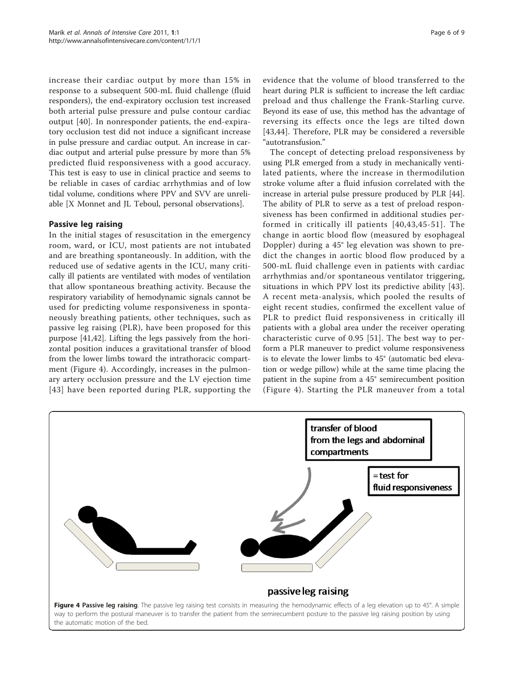increase their cardiac output by more than 15% in response to a subsequent 500-mL fluid challenge (fluid responders), the end-expiratory occlusion test increased both arterial pulse pressure and pulse contour cardiac output [[40\]](#page-7-0). In nonresponder patients, the end-expiratory occlusion test did not induce a significant increase in pulse pressure and cardiac output. An increase in cardiac output and arterial pulse pressure by more than 5% predicted fluid responsiveness with a good accuracy. This test is easy to use in clinical practice and seems to be reliable in cases of cardiac arrhythmias and of low tidal volume, conditions where PPV and SVV are unreliable [X Monnet and JL Teboul, personal observations].

#### Passive leg raising

In the initial stages of resuscitation in the emergency room, ward, or ICU, most patients are not intubated and are breathing spontaneously. In addition, with the reduced use of sedative agents in the ICU, many critically ill patients are ventilated with modes of ventilation that allow spontaneous breathing activity. Because the respiratory variability of hemodynamic signals cannot be used for predicting volume responsiveness in spontaneously breathing patients, other techniques, such as passive leg raising (PLR), have been proposed for this purpose [[41,42\]](#page-7-0). Lifting the legs passively from the horizontal position induces a gravitational transfer of blood from the lower limbs toward the intrathoracic compartment (Figure 4). Accordingly, increases in the pulmonary artery occlusion pressure and the LV ejection time [[43\]](#page-7-0) have been reported during PLR, supporting the

evidence that the volume of blood transferred to the heart during PLR is sufficient to increase the left cardiac preload and thus challenge the Frank-Starling curve. Beyond its ease of use, this method has the advantage of reversing its effects once the legs are tilted down [[43,44](#page-7-0)]. Therefore, PLR may be considered a reversible "autotransfusion."

The concept of detecting preload responsiveness by using PLR emerged from a study in mechanically ventilated patients, where the increase in thermodilution stroke volume after a fluid infusion correlated with the increase in arterial pulse pressure produced by PLR [[44](#page-7-0)]. The ability of PLR to serve as a test of preload responsiveness has been confirmed in additional studies performed in critically ill patients [[40,43](#page-7-0),[45-51](#page-8-0)]. The change in aortic blood flow (measured by esophageal Doppler) during a 45° leg elevation was shown to predict the changes in aortic blood flow produced by a 500-mL fluid challenge even in patients with cardiac arrhythmias and/or spontaneous ventilator triggering, situations in which PPV lost its predictive ability [[43](#page-7-0)]. A recent meta-analysis, which pooled the results of eight recent studies, confirmed the excellent value of PLR to predict fluid responsiveness in critically ill patients with a global area under the receiver operating characteristic curve of 0.95 [[51\]](#page-8-0). The best way to perform a PLR maneuver to predict volume responsiveness is to elevate the lower limbs to 45° (automatic bed elevation or wedge pillow) while at the same time placing the patient in the supine from a 45° semirecumbent position (Figure 4). Starting the PLR maneuver from a total

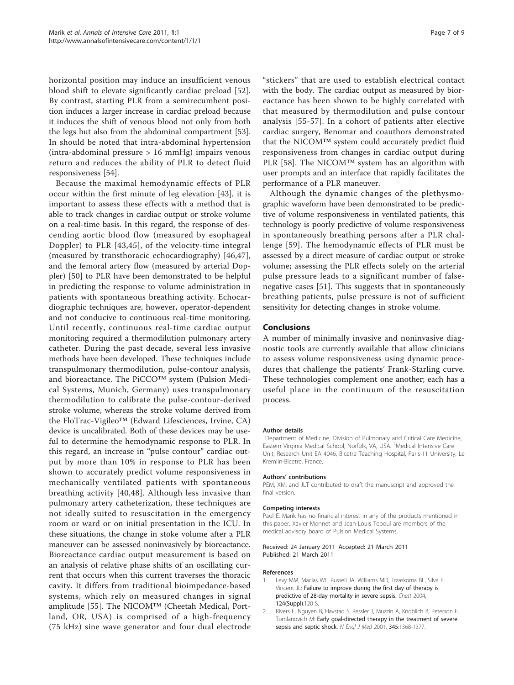<span id="page-6-0"></span>horizontal position may induce an insufficient venous blood shift to elevate significantly cardiac preload [[52](#page-8-0)]. By contrast, starting PLR from a semirecumbent position induces a larger increase in cardiac preload because it induces the shift of venous blood not only from both the legs but also from the abdominal compartment [\[53](#page-8-0)]. In should be noted that intra-abdominal hypertension  $(intra-abdominal pressure > 16 mmHg) impairs venous$ return and reduces the ability of PLR to detect fluid responsiveness [[54\]](#page-8-0).

Because the maximal hemodynamic effects of PLR occur within the first minute of leg elevation [[43\]](#page-7-0), it is important to assess these effects with a method that is able to track changes in cardiac output or stroke volume on a real-time basis. In this regard, the response of descending aortic blood flow (measured by esophageal Doppler) to PLR [[43](#page-7-0),[45](#page-8-0)], of the velocity-time integral (measured by transthoracic echocardiography) [\[46,47](#page-8-0)], and the femoral artery flow (measured by arterial Doppler) [[50\]](#page-8-0) to PLR have been demonstrated to be helpful in predicting the response to volume administration in patients with spontaneous breathing activity. Echocardiographic techniques are, however, operator-dependent and not conducive to continuous real-time monitoring. Until recently, continuous real-time cardiac output monitoring required a thermodilution pulmonary artery catheter. During the past decade, several less invasive methods have been developed. These techniques include transpulmonary thermodilution, pulse-contour analysis, and bioreactance. The PiCCO™ system (Pulsion Medical Systems, Munich, Germany) uses transpulmonary thermodilution to calibrate the pulse-contour-derived stroke volume, whereas the stroke volume derived from the FloTrac-Vigileo™ (Edward Lifesciences, Irvine, CA) device is uncalibrated. Both of these devices may be useful to determine the hemodynamic response to PLR. In this regard, an increase in "pulse contour" cardiac output by more than 10% in response to PLR has been shown to accurately predict volume responsiveness in mechanically ventilated patients with spontaneous breathing activity [[40](#page-7-0),[48\]](#page-8-0). Although less invasive than pulmonary artery catheterization, these techniques are not ideally suited to resuscitation in the emergency room or ward or on initial presentation in the ICU. In these situations, the change in stoke volume after a PLR maneuver can be assessed noninvasively by bioreactance. Bioreactance cardiac output measurement is based on an analysis of relative phase shifts of an oscillating current that occurs when this current traverses the thoracic cavity. It differs from traditional bioimpedance-based systems, which rely on measured changes in signal amplitude [[55\]](#page-8-0). The NICOM™ (Cheetah Medical, Portland, OR, USA) is comprised of a high-frequency (75 kHz) sine wave generator and four dual electrode

"stickers" that are used to establish electrical contact with the body. The cardiac output as measured by bioreactance has been shown to be highly correlated with that measured by thermodilution and pulse contour analysis [\[55-57\]](#page-8-0). In a cohort of patients after elective cardiac surgery, Benomar and coauthors demonstrated that the NICOM™ system could accurately predict fluid responsiveness from changes in cardiac output during PLR [[58\]](#page-8-0). The NICOM™ system has an algorithm with user prompts and an interface that rapidly facilitates the performance of a PLR maneuver.

Although the dynamic changes of the plethysmographic waveform have been demonstrated to be predictive of volume responsiveness in ventilated patients, this technology is poorly predictive of volume responsiveness in spontaneously breathing persons after a PLR challenge [[59\]](#page-8-0). The hemodynamic effects of PLR must be assessed by a direct measure of cardiac output or stroke volume; assessing the PLR effects solely on the arterial pulse pressure leads to a significant number of falsenegative cases [[51\]](#page-8-0). This suggests that in spontaneously breathing patients, pulse pressure is not of sufficient sensitivity for detecting changes in stroke volume.

#### **Conclusions**

A number of minimally invasive and noninvasive diagnostic tools are currently available that allow clinicians to assess volume responsiveness using dynamic procedures that challenge the patients' Frank-Starling curve. These technologies complement one another; each has a useful place in the continuum of the resuscitation process.

#### Author details

<sup>1</sup>Department of Medicine, Division of Pulmonary and Critical Care Medicine Eastern Virginia Medical School, Norfolk, VA, USA. <sup>2</sup>Medical Intensive Care Unit, Research Unit EA 4046, Bicetre Teaching Hospital, Paris-11 University, Le Kremlin-Bicetre, France.

#### Authors' contributions

PEM, XM, and JLT contributed to draft the manuscript and approved the final version.

#### Competing interests

Paul E. Marik has no financial interest in any of the products mentioned in this paper. Xavier Monnet and Jean-Louis Teboul are members of the medical advisory board of Pulsion Medical Systems.

#### Received: 24 January 2011 Accepted: 21 March 2011 Published: 21 March 2011

#### References

- Levy MM, Macias WL, Russell JA, Williams MD, Trzaskoma BL, Silva E, Vincent JL: Failure to improve during the first day of therapy is predictive of 28-day mortality in severe sepsis. Chest 2004, 124(Suppl):120 S.
- 2. Rivers E, Nguyen B, Havstad S, Ressler J, Muzzin A, Knoblich B, Peterson E, Tomlanovich M: Early goal-directed therapy in the treatment of severe sepsis and septic shock. N Engl J Med 2001, 345:1368-1377.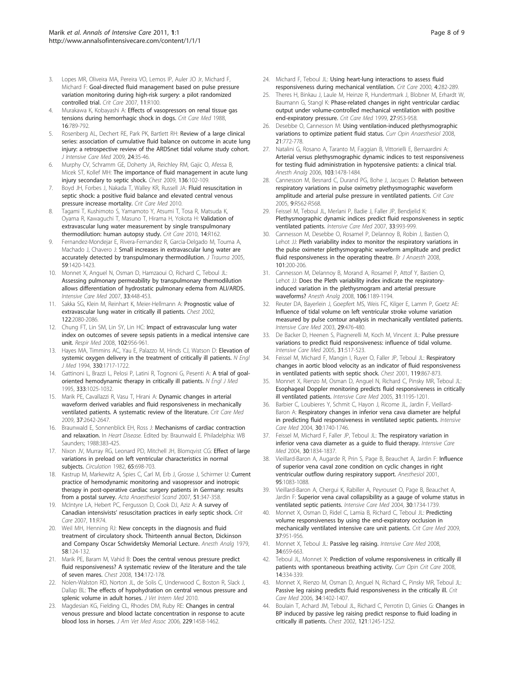- <span id="page-7-0"></span>3. Lopes MR, Oliveira MA, Pereira VO, Lemos IP, Auler JO Jr, Michard F, Michard F: Goal-directed fluid management based on pulse pressure variation monitoring during high-risk surgery: a pilot randomized controlled trial. Crit Care 2007, 11:R100.
- 4. Murakawa K, Kobayashi A: Effects of vasopressors on renal tissue gas tensions during hemorrhagic shock in dogs. Crit Care Med 1988, 16:789-792.
- 5. Rosenberg AL, Dechert RE, Park PK, Bartlett RH: Review of a large clinical series: association of cumulative fluid balance on outcome in acute lung injury: a retrospective review of the ARDSnet tidal volume study cohort. J Intensive Care Med 2009, 24:35-46.
- 6. Murphy CV, Schramm GE, Doherty JA, Reichley RM, Gajic O, Afessa B, Micek ST, Kollef MH: The importance of fluid management in acute lung injury secondary to septic shock. Chest 2009, 136:102-109.
- 7. Boyd JH, Forbes J, Nakada T, Walley KR, Russell JA: Fluid resuscitation in septic shock: a positive fluid balance and elevated central venous pressure increase mortality. Crit Care Med 2010.
- 8. Tagami T, Kushimoto S, Yamamoto Y, Atsumi T, Tosa R, Matsuda K, Oyama R, Kawaguchi T, Masuno T, Hirama H, Yokota H: Validation of extravascular lung water measurement by single transpulmonary thermodilution: human autopsy study. Crit Care 2010, 14:R162.
- 9. Fernandez-Mondejar E, Rivera-Fernandez R, Garcia-Delgado M, Touma A, Machado J, Chavero J: Small increases in extravascular lung water are accurately detected by transpulmonary thermodilution. J Trauma 2005, 59:1420-1423.
- 10. Monnet X, Anguel N, Osman D, Hamzaoui O, Richard C, Teboul JL: Assessing pulmonary permeability by transpulmonary thermodilution allows differentiation of hydrostatic pulmonary edema from ALI/ARDS. Intensive Care Med 2007, 33:448-453.
- 11. Sakka SG, Klein M, Reinhart K, Meier-Hellmann A: Prognostic value of extravascular lung water in critically ill patients. Chest 2002, 122:2080-2086.
- 12. Chung FT, Lin SM, Lin SY, Lin HC: Impact of extravascular lung water index on outcomes of severe sepsis patients in a medical intensive care unit. Respir Med 2008, 102:956-961.
- 13. Hayes MA, Timmins AC, Yau E, Palazzo M, Hinds CJ, Watson D: Elevation of systemic oxygen delivery in the treatment of critically ill patients. N Engl J Med 1994, 330:1717-1722.
- 14. Gattinoni L, Brazzi L, Pelosi P, Latini R, Tognoni G, Pesenti A: A trial of goaloriented hemodynamic therapy in critically ill patients. N Engl J Med 1995, 333:1025-1032.
- 15. Marik PE, Cavallazzi R, Vasu T, Hirani A: Dynamic changes in arterial waveform derived variables and fluid responsiveness in mechanically ventilated patients. A systematic review of the literature. Crit Care Med 2009, 37:2642-2647.
- 16. Braunwald E, Sonnenblick EH, Ross J: Mechanisms of cardiac contraction and relaxation. In Heart Disease. Edited by: Braunwald E. Philadelphia: WB Saunders; 1988:383-425.
- 17. Nixon JV, Murray RG, Leonard PD, Mitchell JH, Blomqvist CG: Effect of large variations in preload on left ventricular characteristics in normal subjects. Circulation 1982, 65:698-703.
- 18. Kastrup M, Markewitz A, Spies C, Carl M, Erb J, Grosse J, Schirmer U: Current practice of hemodynamic monitoring and vasopressor and inotropic therapy in post-operative cardiac surgery patients in Germany: results from a postal survey. Acta Anaesthesiol Scand 2007, 51:347-358.
- 19. McIntyre LA, Hebert PC, Fergusson D, Cook DJ, Aziz A: A survey of Canadian intensivists' resuscitation practices in early septic shock. Crit Care 2007, 11:R74.
- 20. Weil MH, Henning RJ: New concepts in the diagnosis and fluid treatment of circulatory shock. Thirteenth annual Becton, Dickinson and Company Oscar Schwidetsky Memorial Lecture. Anesth Analg 1979, 58:124-132.
- 21. Marik PE, Baram M, Vahid B: Does the central venous pressure predict fluid responsiveness? A systematic review of the literature and the tale of seven mares. Chest 2008, 134:172-178.
- 22. Nolen-Walston RD, Norton JL, de Solis C, Underwood C, Boston R, Slack J, Dallap BL: The effects of hypohydration on central venous pressure and splenic volume in adult horses. J Vet Intern Med 2010.
- 23. Magdesian KG, Fielding CL, Rhodes DM, Ruby RE: Changes in central venous pressure and blood lactate concentration in response to acute blood loss in horses. J Am Vet Med Assoc 2006, 229:1458-1462.
- 24. Michard F, Teboul JL: Using heart-lung interactions to assess fluid responsiveness during mechanical ventilation. Crit Care 2000, 4:282-289.
- 25. Theres H, Binkau J, Laule M, Heinze R, Hundertmark J, Blobner M, Erhardt W, Baumann G, Stangl K: Phase-related changes in right ventricular cardiac output under volume-controlled mechanical ventilation with positive end-expiratory pressure. Crit Care Med 1999, 27:953-958.
- 26. Desebbe O, Cannesson M: Using ventilation-induced plethysmographic variations to optimize patient fluid status. Curr Opin Anaesthesiol 2008, 21:772-778.
- 27. Natalini G, Rosano A, Taranto M, Faggian B, Vittorielli E, Bernaardini A: Arterial versus plethysmographic dynamic indices to test responsiveness for testing fluid administration in hypotensive patients: a clinical trial. Anesth Analg 2006, 103:1478-1484.
- 28. Cannesson M, Besnard C, Durand PG, Bohe J, Jacques D: Relation between respiratory variations in pulse oximetry plethysmographic waveform amplitude and arterial pulse pressure in ventilated patients. Crit Care 2005, 9:R562-R568.
- 29. Feissel M, Teboul JL, Merlani P, Badie J, Faller JP, Bendjelid K: Plethysmographic dynamic indices predict fluid responsiveness in septic ventilated patients. Intensive Care Med 2007, 33:993-999.
- 30. Cannesson M, Desebbe O, Rosamel P, Delannoy B, Robin J, Bastien O, Lehot JJ: Pleth variability index to monitor the respiratory variations in the pulse oximeter plethysmographic waveform amplitude and predict fluid responsiveness in the operating theatre. Br J Anaesth 2008, 101:200-206.
- 31. Cannesson M, Delannoy B, Morand A, Rosamel P, Attof Y, Bastien O, Lehot JJ: Does the Pleth variability index indicate the respiratoryinduced variation in the plethysmogram and arterial pressure waveforms? Anesth Analg 2008, 106:1189-1194.
- 32. Reuter DA, Bayerlein J, Goepfert MS, Weis FC, Kilger E, Lamm P, Goetz AE: Influence of tidal volume on left ventricular stroke volume variation measured by pulse contour analysis in mechanically ventilated patients. Intensive Care Med 2003, 29:476-480.
- 33. De Backer D, Heenen S, Piagnerelli M, Koch M, Vincent JL: Pulse pressure variations to predict fluid responsiveness: influence of tidal volume. Intensive Care Med 2005, 31:517-523.
- 34. Feissel M, Michard F, Mangin I, Ruyer O, Faller JP, Teboul JL: Respiratory changes in aortic blood velocity as an indicator of fluid responsiveness in ventilated patients with septic shock. Chest 2001, 119:867-873.
- 35. Monnet X, Rienzo M, Osman D, Anguel N, Richard C, Pinsky MR, Teboul JL: Esophageal Doppler monitoring predicts fluid responsiveness in critically ill ventilated patients. Intensive Care Med 2005, 31:1195-1201.
- 36. Barbier C, Loubieres Y, Schmit C, Hayon J, Ricome JL, Jardin F, Vieillard-Baron A: Respiratory changes in inferior vena cava diameter are helpful in predicting fluid responsiveness in ventilated septic patients. Intensive Care Med 2004, 30:1740-1746.
- 37. Feissel M, Michard F, Faller JP, Teboul JL: The respiratory variation in inferior vena cava diameter as a guide to fluid therapy. Intensive Care Med 2004, 30:1834-1837.
- 38. Vieillard-Baron A, Augarde R, Prin S, Page B, Beauchet A, Jardin F: Influence of superior vena caval zone condition on cyclic changes in right ventricular outflow during respiratory support. Anesthesiol 2001, 95:1083-1088.
- 39. Vieillard-Baron A, Chergui K, Rabiller A, Peyrouset O, Page B, Beauchet A, Jardin F: Superior vena caval collapsibility as a gauge of volume status in ventilated septic patients. Intensive Care Med 2004, 30:1734-1739.
- 40. Monnet X, Osman D, Ridel C, Lamia B, Richard C, Teboul JL: Predicting volume responsiveness by using the end-expiratory occlusion in mechanically ventilated intensive care unit patients. Crit Care Med 2009, 37:951-956.
- 41. Monnet X, Teboul JL: Passive leg raising. Intensive Care Med 2008, 34:659-663.
- 42. Teboul JL, Monnet X: Prediction of volume responsiveness in critically ill patients with spontaneous breathing activity. Curr Opin Crit Care 2008, 14:334-339.
- 43. Monnet X, Rienzo M, Osman D, Anguel N, Richard C, Pinsky MR, Teboul JL: Passive leg raising predicts fluid responsiveness in the critically ill. Crit Care Med 2006, 34:1402-1407.
- 44. Boulain T, Achard JM, Teboul JL, Richard C, Perrotin D, Ginies G: Changes in BP induced by passive leg raising predict response to fluid loading in critically ill patients. Chest 2002, 121:1245-1252.